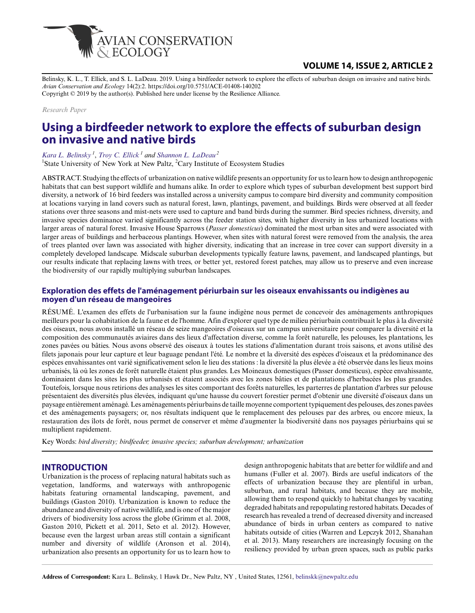

# **VOLUME 14, ISSUE 2, ARTICLE 2**

Belinsky, K. L., T. Ellick, and S. L. LaDeau. 2019. Using a birdfeeder network to explore the effects of suburban design on invasive and native birds. *Avian Conservation and Ecology* 14(2):2. https://doi.org/10.5751/ACE-01408-140202 Copyright © 2019 by the author(s). Published here under license by the Resilience Alliance.

#### *Research Paper*

# **Using a birdfeeder network to explore the effects of suburban design on invasive and native birds**

*[Kara L. Belinsky](mailto:belinskk@newpaltz.edu)<sup>1</sup>* , *[Troy C. Ellick](mailto:ellickt1@hawkmail.newpaltz.edu)<sup>1</sup> and [Shannon L. LaDeau](mailto:ladeaus@caryinstitute.org)<sup>2</sup>*

<sup>1</sup>State University of New York at New Paltz, <sup>2</sup>Cary Institute of Ecosystem Studies

ABSTRACT. Studying the effects of urbanization on native wildlife presents an opportunity for us to learn how to design anthropogenic habitats that can best support wildlife and humans alike. In order to explore which types of suburban development best support bird diversity, a network of 16 bird feeders was installed across a university campus to compare bird diversity and community composition at locations varying in land covers such as natural forest, lawn, plantings, pavement, and buildings. Birds were observed at all feeder stations over three seasons and mist-nets were used to capture and band birds during the summer. Bird species richness, diversity, and invasive species dominance varied significantly across the feeder station sites, with higher diversity in less urbanized locations with larger areas of natural forest. Invasive House Sparrows (*Passer domesticus*) dominated the most urban sites and were associated with larger areas of buildings and herbaceous plantings. However, when sites with natural forest were removed from the analysis, the area of trees planted over lawn was associated with higher diversity, indicating that an increase in tree cover can support diversity in a completely developed landscape. Midscale suburban developments typically feature lawns, pavement, and landscaped plantings, but our results indicate that replacing lawns with trees, or better yet, restored forest patches, may allow us to preserve and even increase the biodiversity of our rapidly multiplying suburban landscapes.

## **Exploration des effets de l'aménagement périurbain sur les oiseaux envahissants ou indigènes au moyen d'un réseau de mangeoires**

RÉSUMÉ. L'examen des effets de l'urbanisation sur la faune indigène nous permet de concevoir des aménagements anthropiques meilleurs pour la cohabitation de la faune et de l'homme. Afin d'explorer quel type de milieu périurbain contribuait le plus à la diversité des oiseaux, nous avons installé un réseau de seize mangeoires d'oiseaux sur un campus universitaire pour comparer la diversité et la composition des communautés aviaires dans des lieux d'affectation diverse, comme la forêt naturelle, les pelouses, les plantations, les zones pavées ou bâties. Nous avons observé des oiseaux à toutes les stations d'alimentation durant trois saisons, et avons utilisé des filets japonais pour leur capture et leur baguage pendant l'été. Le nombre et la diversité des espèces d'oiseaux et la prédominance des espèces envahissantes ont varié significativement selon le lieu des stations : la diversité la plus élevée a été observée dans les lieux moins urbanisés, là où les zones de forêt naturelle étaient plus grandes. Les Moineaux domestiques (Passer domesticus), espèce envahissante, dominaient dans les sites les plus urbanisés et étaient associés avec les zones bâties et de plantations d'herbacées les plus grandes. Toutefois, lorsque nous retirions des analyses les sites comportant des forêts naturelles, les parterres de plantation d'arbres sur pelouse présentaient des diversités plus élevées, indiquant qu'une hausse du couvert forestier permet d'obtenir une diversité d'oiseaux dans un paysage entièrement aménagé. Les aménagements périurbains de taille moyenne comportent typiquement des pelouses, des zones pavées et des aménagements paysagers; or, nos résultats indiquent que le remplacement des pelouses par des arbres, ou encore mieux, la restauration des îlots de forêt, nous permet de conserver et même d'augmenter la biodiversité dans nos paysages périurbains qui se multiplient rapidement.

Key Words: *bird diversity; birdfeeder; invasive species; suburban development; urbanization*

#### **INTRODUCTION**

Urbanization is the process of replacing natural habitats such as vegetation, landforms, and waterways with anthropogenic habitats featuring ornamental landscaping, pavement, and buildings (Gaston 2010). Urbanization is known to reduce the abundance and diversity of native wildlife, and is one of the major drivers of biodiversity loss across the globe (Grimm et al. 2008, Gaston 2010, Pickett et al. 2011, Seto et al. 2012). However, because even the largest urban areas still contain a significant number and diversity of wildlife (Aronson et al. 2014), urbanization also presents an opportunity for us to learn how to

design anthropogenic habitats that are better for wildlife and and humans (Fuller et al. 2007). Birds are useful indicators of the effects of urbanization because they are plentiful in urban, suburban, and rural habitats, and because they are mobile, allowing them to respond quickly to habitat changes by vacating degraded habitats and repopulating restored habitats. Decades of research has revealed a trend of decreased diversity and increased abundance of birds in urban centers as compared to native habitats outside of cities (Warren and Lepczyk 2012, Shanahan et al. 2013). Many researchers are increasingly focusing on the resiliency provided by urban green spaces, such as public parks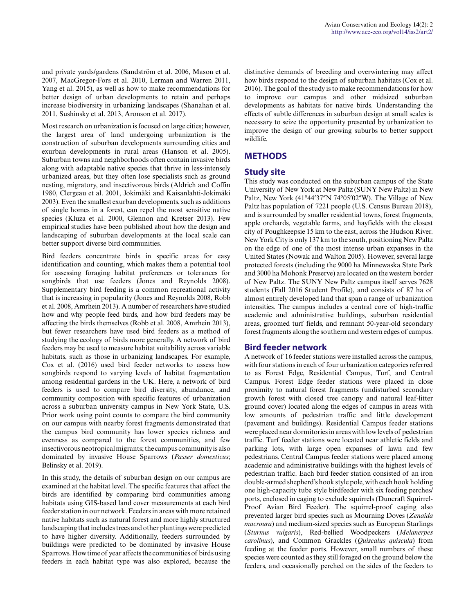and private yards/gardens (Sandström et al. 2006, Mason et al. 2007, MacGregor-Fors et al. 2010, Lerman and Warren 2011, Yang et al. 2015), as well as how to make recommendations for better design of urban developments to retain and perhaps increase biodiversity in urbanizing landscapes (Shanahan et al. 2011, Sushinsky et al. 2013, Aronson et al. 2017).

Most research on urbanization is focused on large cities; however, the largest area of land undergoing urbanization is the construction of suburban developments surrounding cities and exurban developments in rural areas (Hanson et al. 2005). Suburban towns and neighborhoods often contain invasive birds along with adaptable native species that thrive in less-intensely urbanized areas, but they often lose specialists such as ground nesting, migratory, and insectivorous birds (Aldrich and Coffin 1980, Clergeau et al. 2001, Jokimäki and Kaisanlahti-Jokimäki 2003). Even the smallest exurban developments, such as additions of single homes in a forest, can repel the most sensitive native species (Kluza et al. 2000, Glennon and Kretser 2013). Few empirical studies have been published about how the design and landscaping of suburban developments at the local scale can better support diverse bird communities.

Bird feeders concentrate birds in specific areas for easy identification and counting, which makes them a potential tool for assessing foraging habitat preferences or tolerances for songbirds that use feeders (Jones and Reynolds 2008). Supplementary bird feeding is a common recreational activity that is increasing in popularity (Jones and Reynolds 2008, Robb et al. 2008, Amrhein 2013). A number of researchers have studied how and why people feed birds, and how bird feeders may be affecting the birds themselves (Robb et al. 2008, Amrhein 2013), but fewer researchers have used bird feeders as a method of studying the ecology of birds more generally. A network of bird feeders may be used to measure habitat suitability across variable habitats, such as those in urbanizing landscapes. For example, Cox et al. (2016) used bird feeder networks to assess how songbirds respond to varying levels of habitat fragmentation among residential gardens in the UK. Here, a network of bird feeders is used to compare bird diversity, abundance, and community composition with specific features of urbanization across a suburban university campus in New York State, U.S. Prior work using point counts to compare the bird community on our campus with nearby forest fragments demonstrated that the campus bird community has lower species richness and evenness as compared to the forest communities, and few insectivorous neotropical migrants; the campus community is also dominated by invasive House Sparrows (*Passer domesticus*; Belinsky et al. 2019).

In this study, the details of suburban design on our campus are examined at the habitat level. The specific features that affect the birds are identified by comparing bird communities among habitats using GIS-based land cover measurements at each bird feeder station in our network. Feeders in areas with more retained native habitats such as natural forest and more highly structured landscaping that includes trees and other plantings were predicted to have higher diversity. Additionally, feeders surrounded by buildings were predicted to be dominated by invasive House Sparrows. How time of year affects the communities of birds using feeders in each habitat type was also explored, because the distinctive demands of breeding and overwintering may affect how birds respond to the design of suburban habitats (Cox et al. 2016). The goal of the study is to make recommendations for how to improve our campus and other midsized suburban developments as habitats for native birds. Understanding the effects of subtle differences in suburban design at small scales is necessary to seize the opportunity presented by urbanization to improve the design of our growing suburbs to better support wildlife.

# **METHODS**

## **Study site**

This study was conducted on the suburban campus of the State University of New York at New Paltz (SUNY New Paltz) in New Paltz, New York (41°44′37″N 74°05′02″W). The Village of New Paltz has population of 7221 people (U.S. Census Bureau 2018), and is surrounded by smaller residential towns, forest fragments, apple orchards, vegetable farms, and hayfields with the closest city of Poughkeepsie 15 km to the east, across the Hudson River. New York City is only 137 km to the south, positioning New Paltz on the edge of one of the most intense urban expanses in the United States (Nowak and Walton 2005). However, several large protected forests (including the 9000 ha Minnewaska State Park and 3000 ha Mohonk Preserve) are located on the western border of New Paltz. The SUNY New Paltz campus itself serves 7628 students (Fall 2016 Student Profile), and consists of 87 ha of almost entirely developed land that span a range of urbanization intensities. The campus includes a central core of high-traffic academic and administrative buildings, suburban residential areas, groomed turf fields, and remnant 50-year-old secondary forest fragments along the southern and western edges of campus.

# **Bird feeder network**

A network of 16 feeder stations were installed across the campus, with four stations in each of four urbanization categories referred to as Forest Edge, Residential Campus, Turf, and Central Campus. Forest Edge feeder stations were placed in close proximity to natural forest fragments (undisturbed secondary growth forest with closed tree canopy and natural leaf-litter ground cover) located along the edges of campus in areas with low amounts of pedestrian traffic and little development (pavement and buildings). Residential Campus feeder stations were placed near dormitories in areas with low levels of pedestrian traffic. Turf feeder stations were located near athletic fields and parking lots, with large open expanses of lawn and few pedestrians. Central Campus feeder stations were placed among academic and administrative buildings with the highest levels of pedestrian traffic. Each bird feeder station consisted of an iron double-armed shepherd's hook style pole, with each hook holding one high-capacity tube style birdfeeder with six feeding perches/ ports, enclosed in caging to exclude squirrels (Duncraft Squirrel-Proof Avian Bird Feeder). The squirrel-proof caging also prevented larger bird species such as Mourning Doves (*Zenaida macroura*) and medium-sized species such as European Starlings (*Sturnus vulgaris*), Red-bellied Woodpeckers (*Melanerpes carolinus*), and Common Grackles (*Quiscalus quiscula*) from feeding at the feeder ports. However, small numbers of these species were counted as they still foraged on the ground below the feeders, and occasionally perched on the sides of the feeders to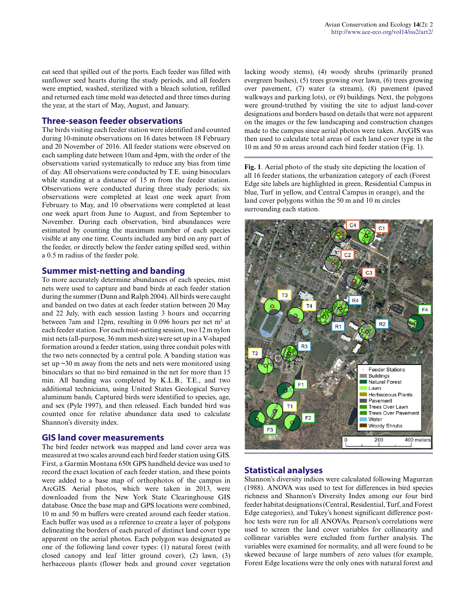eat seed that spilled out of the ports. Each feeder was filled with sunflower seed hearts during the study periods, and all feeders were emptied, washed, sterilized with a bleach solution, refilled and returned each time mold was detected and three times during the year, at the start of May, August, and January.

# **Three-season feeder observations**

The birds visiting each feeder station were identified and counted during 10-minute observations on 16 dates between 18 February and 20 November of 2016. All feeder stations were observed on each sampling date between 10am and 4pm, with the order of the observations varied systematically to reduce any bias from time of day. All observations were conducted by T.E. using binoculars while standing at a distance of 15 m from the feeder station. Observations were conducted during three study periods; six observations were completed at least one week apart from February to May, and 10 observations were completed at least one week apart from June to August, and from September to November. During each observation, bird abundances were estimated by counting the maximum number of each species visible at any one time. Counts included any bird on any part of the feeder, or directly below the feeder eating spilled seed, within a 0.5 m radius of the feeder pole.

#### **Summer mist-netting and banding**

To more accurately determine abundances of each species, mist nets were used to capture and band birds at each feeder station during the summer (Dunn and Ralph 2004). All birds were caught and banded on two dates at each feeder station between 20 May and 22 July, with each session lasting 3 hours and occurring between 7am and 12pm, resulting in 0.096 hours per net m² at each feeder station. For each mist-netting session, two 12 m nylon mist nets (all-purpose, 36 mm mesh size) were set up in a V-shaped formation around a feeder station, using three conduit poles with the two nets connected by a central pole. A banding station was set up ~30 m away from the nets and nets were monitored using binoculars so that no bird remained in the net for more than 15 min. All banding was completed by K.L.B., T.E., and two additional technicians, using United States Geological Survey aluminum bands. Captured birds were identified to species, age, and sex (Pyle 1997), and then released. Each banded bird was counted once for relative abundance data used to calculate Shannon's diversity index.

#### **GIS land cover measurements**

The bird feeder network was mapped and land cover area was measured at two scales around each bird feeder station using GIS. First, a Garmin Montana 650t GPS handheld device was used to record the exact location of each feeder station, and these points were added to a base map of orthophotos of the campus in ArcGIS. Aerial photos, which were taken in 2013, were downloaded from the New York State Clearinghouse GIS database. Once the base map and GPS locations were combined, 10 m and 50 m buffers were created around each feeder station. Each buffer was used as a reference to create a layer of polygons delineating the borders of each parcel of distinct land cover type apparent on the aerial photos. Each polygon was designated as one of the following land cover types: (1) natural forest (with closed canopy and leaf litter ground cover), (2) lawn, (3) herbaceous plants (flower beds and ground cover vegetation

lacking woody stems), (4) woody shrubs (primarily pruned evergreen bushes), (5) trees growing over lawn, (6) trees growing over pavement, (7) water (a stream), (8) pavement (paved walkways and parking lots), or (9) buildings. Next, the polygons were ground-truthed by visiting the site to adjust land-cover designations and borders based on details that were not apparent on the images or the few landscaping and construction changes made to the campus since aerial photos were taken. ArcGIS was then used to calculate total areas of each land cover type in the 10 m and 50 m areas around each bird feeder station (Fig. 1).

**Fig. 1**. Aerial photo of the study site depicting the location of all 16 feeder stations, the urbanization category of each (Forest Edge site labels are highlighted in green, Residential Campus in blue, Turf in yellow, and Central Campus in orange), and the land cover polygons within the 50 m and 10 m circles surrounding each station.



# **Statistical analyses**

Shannon's diversity indices were calculated following Magurran (1988). ANOVA was used to test for differences in bird species richness and Shannon's Diversity Index among our four bird feeder habitat designations (Central, Residential, Turf, and Forest Edge categories), and Tukey's honest significant difference posthoc tests were run for all ANOVAs. Pearson's correlations were used to screen the land cover variables for collinearity and collinear variables were excluded from further analysis. The variables were examined for normality, and all were found to be skewed because of large numbers of zero values (for example, Forest Edge locations were the only ones with natural forest and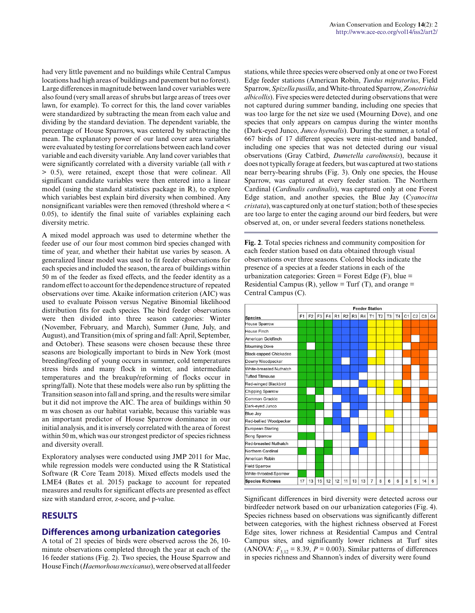had very little pavement and no buildings while Central Campus locations had high areas of buildings and pavement but no forest). Large differences in magnitude between land cover variables were also found (very small areas of shrubs but large areas of trees over lawn, for example). To correct for this, the land cover variables were standardized by subtracting the mean from each value and dividing by the standard deviation. The dependent variable, the percentage of House Sparrows, was centered by subtracting the mean. The explanatory power of our land cover area variables were evaluated by testing for correlations between each land cover variable and each diversity variable. Any land cover variables that were significantly correlated with a diversity variable (all with *r* > 0.5), were retained, except those that were colinear. All significant candidate variables were then entered into a linear model (using the standard statistics package in R), to explore which variables best explain bird diversity when combined. Any nonsignificant variables were then removed (threshold where α < 0.05), to identify the final suite of variables explaining each diversity metric.

A mixed model approach was used to determine whether the feeder use of our four most common bird species changed with time of year, and whether their habitat use varies by season. A generalized linear model was used to fit feeder observations for each species and included the season, the area of buildings within 50 m of the feeder as fixed effects, and the feeder identity as a random effect to account for the dependence structure of repeated observations over time. Akaike information criterion (AIC) was used to evaluate Poisson versus Negative Binomial likelihood distribution fits for each species. The bird feeder observations were then divided into three season categories: Winter (November, February, and March), Summer (June, July, and August), and Transition (mix of spring and fall: April, September, and October). These seasons were chosen because these three seasons are biologically important to birds in New York (most breeding/feeding of young occurs in summer, cold temperatures stress birds and many flock in winter, and intermediate temperatures and the breakup/reforming of flocks occur in spring/fall). Note that these models were also run by splitting the Transition season into fall and spring, and the results were similar but it did not improve the AIC. The area of buildings within 50 m was chosen as our habitat variable, because this variable was an important predictor of House Sparrow dominance in our initial analysis, and it is inversely correlated with the area of forest within 50 m, which was our strongest predictor of species richness and diversity overall.

Exploratory analyses were conducted using JMP 2011 for Mac, while regression models were conducted using the R Statistical Software (R Core Team 2018). Mixed effects models used the LME4 (Bates et al. 2015) package to account for repeated measures and results for significant effects are presented as effect size with standard error, z-score, and p-value.

# **RESULTS**

# **Differences among urbanization categories**

A total of 21 species of birds were observed across the 26, 10 minute observations completed through the year at each of the 16 feeder stations (Fig. 2). Two species, the House Sparrow and House Finch (*Haemorhous mexicanus*), were observed at all feeder stations, while three species were observed only at one or two Forest Edge feeder stations (American Robin, *Turdus migratorius*, Field Sparrow, *Spizella pusilla*, and White-throated Sparrow, *Zonotrichia albicollis*). Five species were detected during observations that were not captured during summer banding, including one species that was too large for the net size we used (Mourning Dove), and one species that only appears on campus during the winter months (Dark-eyed Junco, *Junco hyemalis*). During the summer, a total of 667 birds of 17 different species were mist-netted and banded, including one species that was not detected during our visual observations (Gray Catbird, *Dumetella carolinensis*), because it does not typically forage at feeders, but was captured at two stations near berry-bearing shrubs (Fig. 3). Only one species, the House Sparrow, was captured at every feeder station. The Northern Cardinal (*Cardinalis cardinalis*), was captured only at one Forest Edge station, and another species, the Blue Jay (*Cyanocitta cristata*), was captured only at one turf station; both of these species are too large to enter the caging around our bird feeders, but were observed at, on, or under several feeders stations nonetheless.

**Fig. 2**. Total species richness and community composition for each feeder station based on data obtained through visual observations over three seasons. Colored blocks indicate the presence of a species at a feeder stations in each of the urbanization categories: Green = Forest Edge  $(F)$ , blue = Residential Campus (R), yellow = Turf (T), and orange = Central Campus (C).



Significant differences in bird diversity were detected across our birdfeeder network based on our urbanization categories (Fig. 4). Species richness based on observations was significantly different between categories, with the highest richness observed at Forest Edge sites, lower richness at Residential Campus and Central Campus sites, and significantly lower richness at Turf sites (ANOVA:  $F_{3,12} = 8.39$ ,  $P = 0.003$ ). Similar patterns of differences in species richness and Shannon's index of diversity were found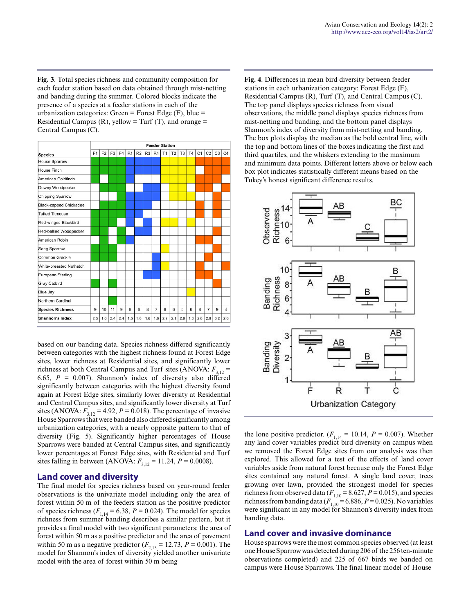**Fig. 3**. Total species richness and community composition for each feeder station based on data obtained through mist-netting and banding during the summer. Colored blocks indicate the presence of a species at a feeder stations in each of the urbanization categories: Green = Forest Edge  $(F)$ , blue = Residential Campus  $(R)$ , yellow = Turf  $(T)$ , and orange = Central Campus (C).



based on our banding data. Species richness differed significantly between categories with the highest richness found at Forest Edge sites, lower richness at Residential sites, and significantly lower richness at both Central Campus and Turf sites (ANOVA:  $F_{3,12}$  = 6.65, *P* = 0.007). Shannon's index of diversity also differed significantly between categories with the highest diversity found again at Forest Edge sites, similarly lower diversity at Residential and Central Campus sites, and significantly lower diversity at Turf sites (ANOVA:  $F_{3,12} = 4.92$ ,  $P = 0.018$ ). The percentage of invasive House Sparrows that were banded also differed significantly among urbanization categories, with a nearly opposite pattern to that of diversity (Fig. 5). Significantly higher percentages of House Sparrows were banded at Central Campus sites, and significantly lower percentages at Forest Edge sites, with Residential and Turf sites falling in between (ANOVA:  $F_{3,12} = 11.24$ ,  $P = 0.0008$ ).

# **Land cover and diversity**

The final model for species richness based on year-round feeder observations is the univariate model including only the area of forest within 50 m of the feeders station as the positive predictor of species richness  $(F_{1,14} = 6.38, P = 0.024)$ . The model for species richness from summer banding describes a similar pattern, but it provides a final model with two significant parameters: the area of forest within 50 m as a positive predictor and the area of pavement within 50 m as a negative predictor ( $F_{2,13} = 12.73$ ,  $P = 0.001$ ). The model for Shannon's index of diversity yielded another univariate model with the area of forest within 50 m being

**Fig. 4**. Differences in mean bird diversity between feeder stations in each urbanization category: Forest Edge (F), Residential Campus (R), Turf (T), and Central Campus (C). The top panel displays species richness from visual observations, the middle panel displays species richness from mist-netting and banding, and the bottom panel displays Shannon's index of diversity from mist-netting and banding. The box plots display the median as the bold central line, with the top and bottom lines of the boxes indicating the first and third quartiles, and the whiskers extending to the maximum and minimum data points. Different letters above or below each box plot indicates statistically different means based on the Tukey's honest significant difference results.



the lone positive predictor.  $(F_{1,14} = 10.14, P = 0.007)$ . Whether any land cover variables predict bird diversity on campus when we removed the Forest Edge sites from our analysis was then explored. This allowed for a test of the effects of land cover variables aside from natural forest because only the Forest Edge sites contained any natural forest. A single land cover, trees growing over lawn, provided the strongest model for species richness from observed data  $(F_{1,10} = 8.627, P = 0.015)$ , and species richness from banding data  $(F_{1,10} = 6.886, P = 0.025)$ . No variables were significant in any model for Shannon's diversity index from banding data.

#### **Land cover and invasive dominance**

House sparrows were the most common species observed (at least one House Sparrow was detected during 206 of the 256 ten-minute observations completed) and 225 of 667 birds we banded on campus were House Sparrows. The final linear model of House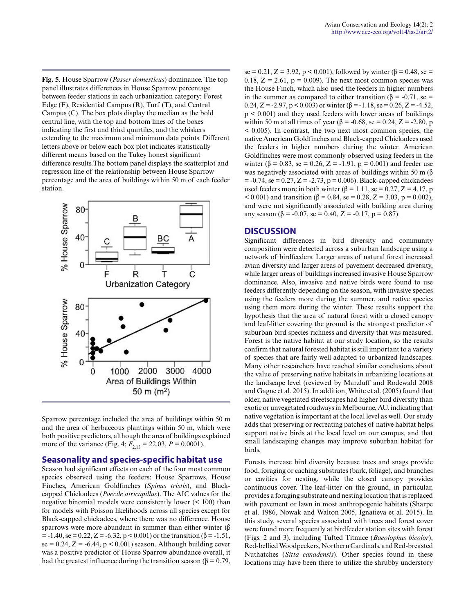**Fig. 5**. House Sparrow (*Passer domesticus*) dominance. The top panel illustrates differences in House Sparrow percentage between feeder stations in each urbanization category: Forest Edge (F), Residential Campus (R), Turf (T), and Central Campus (C). The box plots display the median as the bold central line, with the top and bottom lines of the boxes indicating the first and third quartiles, and the whiskers extending to the maximum and minimum data points. Different letters above or below each box plot indicates statistically different means based on the Tukey honest significant difference results.The bottom panel displays the scatterplot and regression line of the relationship between House Sparrow percentage and the area of buildings within 50 m of each feeder station.



Sparrow percentage included the area of buildings within 50 m and the area of herbaceous plantings within 50 m, which were both positive predictors, although the area of buildings explained more of the variance (Fig. 4;  $F_{2,13} = 22.03$ ,  $P = 0.0001$ ).

# **Seasonality and species-specific habitat use**

Season had significant effects on each of the four most common species observed using the feeders: House Sparrows, House Finches, American Goldfinches (*Spinus tristis*), and Blackcapped Chickadees (*Poecile atricapillus*). The AIC values for the negative binomial models were consistently lower (< 100) than for models with Poisson likelihoods across all species except for Black-capped chickadees, where there was no difference. House sparrows were more abundant in summer than either winter (β  $=$  -1.40, se = 0.22, Z = -6.32, p < 0.001) or the transition (β = -1.51, se =  $0.24$ ,  $Z = -6.44$ ,  $p < 0.001$ ) season. Although building cover was a positive predictor of House Sparrow abundance overall, it had the greatest influence during the transition season ( $\beta = 0.79$ , se = 0.21, Z = 3.92, p < 0.001), followed by winter ( $\beta$  = 0.48, se = 0.18,  $Z = 2.61$ ,  $p = 0.009$ ). The next most common species was the House Finch, which also used the feeders in higher numbers in the summer as compared to either transition ( $\beta$  = -0.71, se = 0.24,  $Z = -2.97$ ,  $p < 0.003$ ) or winter ( $\beta = -1.18$ , se = 0.26,  $Z = -4.52$ ,  $p < 0.001$ ) and they used feeders with lower areas of buildings within 50 m at all times of year (β = -0.68, se = 0.24, Z = -2.80, p < 0.005). In contrast, the two next most common species, the native American Goldfinches and Black-capped Chickadees used the feeders in higher numbers during the winter. American Goldfinches were most commonly observed using feeders in the winter (β = 0.83, se = 0.26, Z = -1.91, p = 0.001) and feeder use was negatively associated with areas of buildings within 50 m (β  $= -0.74$ , se  $= 0.27$ ,  $Z = -2.73$ ,  $p = 0.006$ ). Black-capped chickadees used feeders more in both winter ( $\beta$  = 1.11, se = 0.27, Z = 4.17, p  $(6 - 0.001)$  and transition (β = 0.84, se = 0.28, Z = 3.03, p = 0.002), and were not significantly associated with building area during any season (β = -0.07, se = 0.40, Z = -0.17, p = 0.87).

# **DISCUSSION**

Significant differences in bird diversity and community composition were detected across a suburban landscape using a network of birdfeeders. Larger areas of natural forest increased avian diversity and larger areas of pavement decreased diversity, while larger areas of buildings increased invasive House Sparrow dominance. Also, invasive and native birds were found to use feeders differently depending on the season, with invasive species using the feeders more during the summer, and native species using them more during the winter. These results support the hypothesis that the area of natural forest with a closed canopy and leaf-litter covering the ground is the strongest predictor of suburban bird species richness and diversity that was measured. Forest is the native habitat at our study location, so the results confirm that natural forested habitat is still important to a variety of species that are fairly well adapted to urbanized landscapes. Many other researchers have reached similar conclusions about the value of preserving native habitats in urbanizing locations at the landscape level (reviewed by Marzluff and Rodewald 2008 and Gagne et al. 2015). In addition, White et al. (2005) found that older, native vegetated streetscapes had higher bird diversity than exotic or unvegetated roadways in Melbourne, AU, indicating that native vegetation is important at the local level as well. Our study adds that preserving or recreating patches of native habitat helps support native birds at the local level on our campus, and that small landscaping changes may improve suburban habitat for birds.

Forests increase bird diversity because trees and snags provide food, foraging or caching substrates (bark, foliage), and branches or cavities for nesting, while the closed canopy provides continuous cover. The leaf-litter on the ground, in particular, provides a foraging substrate and nesting location that is replaced with pavement or lawn in most anthropogenic habitats (Sharpe et al. 1986, Nowak and Walton 2005, Ignatieva et al. 2015). In this study, several species associated with trees and forest cover were found more frequently at birdfeeder station sites with forest (Figs. 2 and 3), including Tufted Titmice (*Baeolophus bicolor*), Red-bellied Woodpeckers, Northern Cardinals, and Red-breasted Nuthatches (*Sitta canadensis*). Other species found in these locations may have been there to utilize the shrubby understory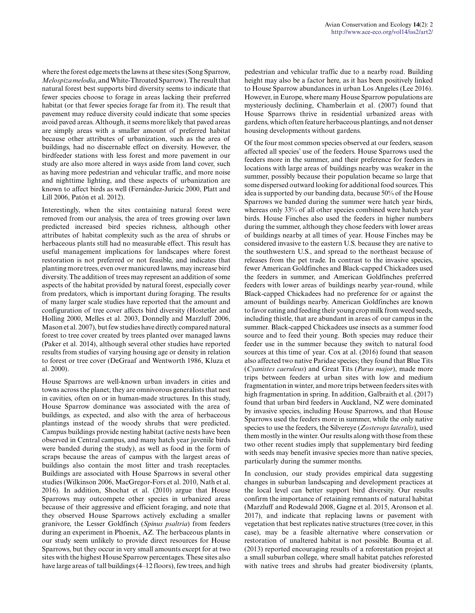where the forest edge meets the lawns at these sites (Song Sparrow, *Melospiza melodia*, and White-Throated Sparrow). The result that natural forest best supports bird diversity seems to indicate that fewer species choose to forage in areas lacking their preferred habitat (or that fewer species forage far from it). The result that pavement may reduce diversity could indicate that some species avoid paved areas. Although, it seems more likely that paved areas are simply areas with a smaller amount of preferred habitat because other attributes of urbanization, such as the area of buildings, had no discernable effect on diversity. However, the birdfeeder stations with less forest and more pavement in our study are also more altered in ways aside from land cover, such as having more pedestrian and vehicular traffic, and more noise and nighttime lighting, and these aspects of urbanization are known to affect birds as well (Fernández-Juricic 2000, Platt and Lill 2006, Patón et al. 2012).

Interestingly, when the sites containing natural forest were removed from our analysis, the area of trees growing over lawn predicted increased bird species richness, although other attributes of habitat complexity such as the area of shrubs or herbaceous plants still had no measurable effect. This result has useful management implications for landscapes where forest restoration is not preferred or not feasible, and indicates that planting more trees, even over manicured lawns, may increase bird diversity. The addition of trees may represent an addition of some aspects of the habitat provided by natural forest, especially cover from predators, which is important during foraging. The results of many larger scale studies have reported that the amount and configuration of tree cover affects bird diversity (Hostetler and Holling 2000, Melles et al. 2003, Donnelly and Marzluff 2006, Mason et al. 2007), but few studies have directly compared natural forest to tree cover created by trees planted over managed lawns (Paker et al. 2014), although several other studies have reported results from studies of varying housing age or density in relation to forest or tree cover (DeGraaf and Wentworth 1986, Kluza et al. 2000).

House Sparrows are well-known urban invaders in cities and towns across the planet; they are omnivorous generalists that nest in cavities, often on or in human-made structures. In this study, House Sparrow dominance was associated with the area of buildings, as expected, and also with the area of herbaceous plantings instead of the woody shrubs that were predicted. Campus buildings provide nesting habitat (active nests have been observed in Central campus, and many hatch year juvenile birds were banded during the study), as well as food in the form of scraps because the areas of campus with the largest areas of buildings also contain the most litter and trash receptacles. Buildings are associated with House Sparrows in several other studies (Wilkinson 2006, MacGregor-Fors et al. 2010, Nath et al. 2016). In addition, Shochat et al. (2010) argue that House Sparrows may outcompete other species in urbanized areas because of their aggressive and efficient foraging, and note that they observed House Sparrows actively excluding a smaller granivore, the Lesser Goldfinch (*Spinus psaltria*) from feeders during an experiment in Phoenix, AZ. The herbaceous plants in our study seem unlikely to provide direct resources for House Sparrows, but they occur in very small amounts except for at two sites with the highest House Sparrow percentages. These sites also have large areas of tall buildings (4–12 floors), few trees, and high pedestrian and vehicular traffic due to a nearby road. Building height may also be a factor here, as it has been positively linked to House Sparrow abundances in urban Los Angeles (Lee 2016). However, in Europe, where many House Sparrow populations are mysteriously declining, Chamberlain et al. (2007) found that House Sparrows thrive in residential urbanized areas with gardens, which often feature herbaceous plantings, and not denser housing developments without gardens.

Of the four most common species observed at our feeders, season affected all species' use of the feeders. House Sparrows used the feeders more in the summer, and their preference for feeders in locations with large areas of buildings nearby was weaker in the summer, possibly because their population became so large that some dispersed outward looking for additional food sources. This idea is supported by our banding data, because 50% of the House Sparrows we banded during the summer were hatch year birds, whereas only 33% of all other species combined were hatch year birds. House Finches also used the feeders in higher numbers during the summer, although they chose feeders with lower areas of buildings nearby at all times of year. House Finches may be considered invasive to the eastern U.S. because they are native to the southwestern U.S., and spread to the northeast because of releases from the pet trade. In contrast to the invasive species, fewer American Goldfinches and Black-capped Chickadees used the feeders in summer, and American Goldfinches preferred feeders with lower areas of buildings nearby year-round, while Black-capped Chickadees had no preference for or against the amount of buildings nearby. American Goldfinches are known to favor eating and feeding their young crop milk from weed seeds, including thistle, that are abundant in areas of our campus in the summer. Black-capped Chickadees use insects as a summer food source and to feed their young. Both species may reduce their feeder use in the summer because they switch to natural food sources at this time of year. Cox at al. (2016) found that season also affected two native Paridae species; they found that Blue Tits (*Cyanistes caeruleus*) and Great Tits (*Parus major*), made more trips between feeders at urban sites with low and medium fragmentation in winter, and more trips between feeders sites with high fragmentation in spring. In addition, Galbraith et al. (2017) found that urban bird feeders in Auckland, NZ were dominated by invasive species, including House Sparrows, and that House Sparrows used the feeders more in summer, while the only native species to use the feeders, the Silvereye (*Zosterops lateralis*), used them mostly in the winter. Our results along with those from these two other recent studies imply that supplementary bird feeding with seeds may benefit invasive species more than native species, particularly during the summer months.

In conclusion, our study provides empirical data suggesting changes in suburban landscaping and development practices at the local level can better support bird diversity. Our results confirm the importance of retaining remnants of natural habitat (Marzluff and Rodewald 2008, Gagne et al. 2015, Aronson et al. 2017), and indicate that replacing lawns or pavement with vegetation that best replicates native structures (tree cover, in this case), may be a feasible alternative where conservation or restoration of unaltered habitat is not possible. Bouma et al. (2013) reported encouraging results of a reforestation project at a small suburban college, where small habitat patches reforested with native trees and shrubs had greater biodiversity (plants,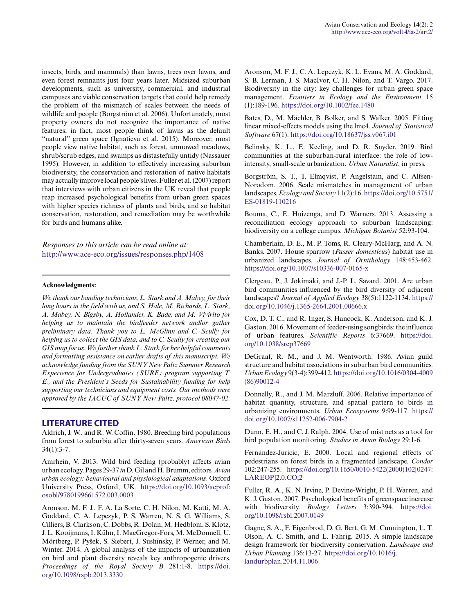insects, birds, and mammals) than lawns, trees over lawns, and even forest remnants just four years later. Midsized suburban developments, such as university, commercial, and industrial campuses are viable conservation targets that could help remedy the problem of the mismatch of scales between the needs of wildlife and people (Borgström et al. 2006). Unfortunately, most property owners do not recognize the importance of native features; in fact, most people think of lawns as the default "natural" green space (Ignatieva et al. 2015). Moreover, most people view native habitat, such as forest, unmowed meadows, shrub/scrub edges, and swamps as distastefully untidy (Nassauer 1995). However, in addition to effectively increasing suburban biodiversity, the conservation and restoration of native habitats may actually improve local people's lives. Fuller et al. (2007) report that interviews with urban citizens in the UK reveal that people reap increased psychological benefits from urban green spaces with higher species richness of plants and birds, and so habitat conservation, restoration, and remediation may be worthwhile for birds and humans alike.

*Responses to this article can be read online at:* <http://www.ace-eco.org/issues/responses.php/1408>

#### **Acknowledgments:**

*We thank our banding technicians, L. Stark and A. Mabey, for their long hours in the field with us, and S. Hale, M. Richards, L. Stark, A. Mabey, N. Bigsby, A. Hollander, K. Bade, and M. Vivirito for helping us to maintain the birdfeeder network and/or gather preliminary data. Thank you to L. McGlinn and C. Scully for helping us to collect the GIS data, and to C. Scully for creating our GIS map for us. We further thank L. Stark for her helpful comments and formatting assistance on earlier drafts of this manuscript. We acknowledge funding from the SUNY New Paltz Summer Research Experience for Undergraduates (SURE) program supporting T. E., and the President's Seeds for Sustainability funding for help supporting our technicians and equipment costs. Our methods were approved by the IACUC of SUNY New Paltz, protocol 08047-02.*

#### **LITERATURE CITED**

Aldrich, J. W., and R. W. Coffin. 1980. Breeding bird populations from forest to suburbia after thirty-seven years. *American Birds*  $34(1):3-7.$ 

Amrhein, V. 2013. Wild bird feeding (probably) affects avian urban ecology. Pages 29-37 *in* D. Gil and H. Brumm, editors. *Avian urban ecology: behavioural and physiological adaptations.* Oxford University Press, Oxford, UK. [https://doi.org/10.1093/acprof:](https://doi.org/10.1093/acprof:osobl/9780199661572.003.0003) [osobl/9780199661572.003.0003](https://doi.org/10.1093/acprof:osobl/9780199661572.003.0003)

Aronson, M. F. J., F. A. La Sorte, C. H. Nilon, M. Katti, M. A. Goddard, C. A. Lepczyk, P. S. Warren, N. S. G. Williams, S. Cilliers, B. Clarkson, C. Dobbs, R. Dolan, M. Hedblom, S. Klotz, J. L. Kooijmans, I. Kühn, I. MacGregor-Fors, M. McDonnell, U. Mörtberg, P. Pyšek, S. Siebert, J. Sushinsky, P. Werner, and M. Winter. 2014. A global analysis of the impacts of urbanization on bird and plant diversity reveals key anthropogenic drivers. *Proceedings of the Royal Society B* 281:1-8. [https://doi.](https://doi.org/10.1098/rspb.2013.3330) [org/10.1098/rspb.2013.3330](https://doi.org/10.1098/rspb.2013.3330)

Aronson, M. F. J., C. A. Lepczyk, K. L. Evans, M. A. Goddard, S. B. Lerman, J. S. MacIvor, C. H. Nilon, and T. Vargo. 2017. Biodiversity in the city: key challenges for urban green space management. *Frontiers in Ecology and the Environment* 15 (1):189-196. <https://doi.org/10.1002/fee.1480>

Bates, D., M. Mächler, B. Bolker, and S. Walker. 2005. Fitting linear mixed-effects models using the lme4. *Journal of Statistical Software* 67(1). <https://doi.org/10.18637/jss.v067.i01>

Belinsky, K. L., E. Keeling, and D. R. Snyder. 2019. Bird communities at the suburban-rural interface: the role of lowintensity, small-scale urbanization. *Urban Naturalist*, in press.

Borgström, S. T., T. Elmqvist, P. Angelstam, and C. Alfsen-Norodom. 2006. Scale mismatches in management of urban landscapes. *Ecology and Society* 11(2):16. [https://doi.org/10.5751/](https://doi.org/10.5751/ES-01819-110216) [ES-01819-110216](https://doi.org/10.5751/ES-01819-110216)

Bouma, C., E. Huizenga, and D. Warners. 2013. Assessing a reconciliation ecology approach to suburban landscaping: biodiversity on a college campus. *Michigan Botanist* 52:93-104.

Chamberlain, D. E., M. P. Toms, R. Cleary-McHarg, and A. N. Banks. 2007. House sparrow (*Passer domesticus*) habitat use in urbanized landscapes. *Journal of Ornithology* 148:453-462. <https://doi.org/10.1007/s10336-007-0165-x>

Clergeau, P., J. Jokimäki, and J.-P. L. Savard. 2001. Are urban bird communities influenced by the bird diversity of adjacent landscapes? *Journal of Applied Ecology* 38(5):1122-1134. [https://](https://doi.org/10.1046/j.1365-2664.2001.00666.x) [doi.org/10.1046/j.1365-2664.2001.00666.x](https://doi.org/10.1046/j.1365-2664.2001.00666.x)

Cox, D. T. C., and R. Inger, S. Hancock, K. Anderson, and K. J. Gaston. 2016. Movement of feeder-using songbirds: the influence of urban features. *Scientific Reports* 6:37669. [https://doi.](https://doi.org/10.1038/srep37669) [org/10.1038/srep37669](https://doi.org/10.1038/srep37669)

DeGraaf, R. M., and J. M. Wentworth. 1986. Avian guild structure and habitat associations in suburban bird communities. *Urban Ecology* 9(3-4):399-412. [https://doi.org/10.1016/0304-4009](https://doi.org/10.1016/0304-4009(86)90012-4) [\(86\)90012-4](https://doi.org/10.1016/0304-4009(86)90012-4) 

Donnelly, R., and J. M. Marzluff. 2006. Relative importance of habitat quantity, structure, and spatial pattern to birds in urbanizing environments. *Urban Ecosystems* 9:99-117. [https://](https://doi.org/10.1007/s11252-006-7904-2) [doi.org/10.1007/s11252-006-7904-2](https://doi.org/10.1007/s11252-006-7904-2) 

Dunn, E. H., and C. J. Ralph. 2004. Use of mist nets as a tool for bird population monitoring. *Studies in Avian Biology* 29:1-6.

Fernández-Juricic, E. 2000. Local and regional effects of pedestrians on forest birds in a fragmented landscape. *Condor* 102:247-255. [https://doi.org/10.1650/0010-5422\(2000\)102\[0247:](https://doi.org/10.1650/0010-5422(2000)102[0247:LAREOP]2.0.CO;2) [LAREOP\]2.0.CO;2](https://doi.org/10.1650/0010-5422(2000)102[0247:LAREOP]2.0.CO;2) 

Fuller, R. A., K. N. Irvine, P. Devine-Wright, P. H. Warren, and K. J. Gaston. 2007. Psychological benefits of greenspace increase with biodiversity. *Biology Letters* 3:390-394. [https://doi.](https://doi.org/10.1098/rsbl.2007.0149) [org/10.1098/rsbl.2007.0149](https://doi.org/10.1098/rsbl.2007.0149)

Gagne, S. A., F. Eigenbrod, D. G. Bert, G. M. Cunnington, L. T. Olson, A. C. Smith, and L. Fahrig. 2015. A simple landscape design framework for biodiversity conservation. *Landscape and Urban Planning* 136:13-27. [https://doi.org/10.1016/j.](https://doi.org/10.1016/j.landurbplan.2014.11.006) [landurbplan.2014.11.006](https://doi.org/10.1016/j.landurbplan.2014.11.006)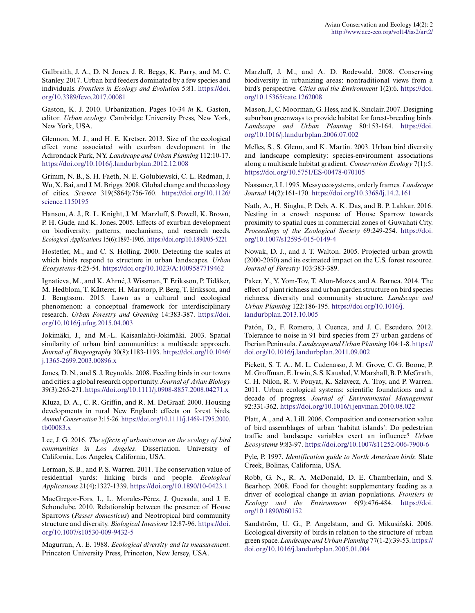Galbraith, J. A., D. N. Jones, J. R. Beggs, K. Parry, and M. C. Stanley. 2017. Urban bird feeders dominated by a few species and individuals. *Frontiers in Ecology and Evolution* 5:81. [https://doi.](https://doi.org/10.3389/fevo.2017.00081) [org/10.3389/fevo.2017.00081](https://doi.org/10.3389/fevo.2017.00081)

Gaston, K. J. 2010. Urbanization. Pages 10-34 *in* K. Gaston, editor. *Urban ecology.* Cambridge University Press, New York, New York, USA.

Glennon, M. J., and H. E. Kretser. 2013. Size of the ecological effect zone associated with exurban development in the Adirondack Park, NY. *Landscape and Urban Planning* 112:10-17. <https://doi.org/10.1016/j.landurbplan.2012.12.008>

Grimm, N. B., S. H. Faeth, N. E. Golubiewski, C. L. Redman, J. Wu, X. Bai, and J. M. Briggs. 2008. Global change and the ecology of cities. *Science* 319(5864):756-760. [https://doi.org/10.1126/](https://doi.org/10.1126/science.1150195) [science.1150195](https://doi.org/10.1126/science.1150195)

Hanson, A. J., R. L. Knight, J. M. Marzluff, S. Powell, K. Brown, P. H. Gude, and K. Jones. 2005. Effects of exurban development on biodiversity: patterns, mechanisms, and research needs. *Ecological Applications* 15(6):1893-1905. <https://doi.org/10.1890/05-5221>

Hostetler, M., and C. S. Holling. 2000. Detecting the scales at which birds respond to structure in urban landscapes. *Urban Ecosystems* 4:25-54.<https://doi.org/10.1023/A:1009587719462>

Ignatieva, M., and K. Ahrné, J. Wissman, T. Eriksson, P. Tidåker, M. Hedblom, T. Kätterer, H. Marstorp, P. Berg, T. Eriksson, and J. Bengtsson. 2015. Lawn as a cultural and ecological phenomenon: a conceptual framework for interdisciplinary research. *Urban Forestry and Greening* 14:383-387. [https://doi.](https://doi.org/10.1016/j.ufug.2015.04.003) [org/10.1016/j.ufug.2015.04.003](https://doi.org/10.1016/j.ufug.2015.04.003)

Jokimäki, J., and M.-L. Kaisanlahti-Jokimäki. 2003. Spatial similarity of urban bird communities: a multiscale approach. *Journal of Biogeography* 30(8):1183-1193. [https://doi.org/10.1046/](https://doi.org/10.1046/j.1365-2699.2003.00896.x) [j.1365-2699.2003.00896.x](https://doi.org/10.1046/j.1365-2699.2003.00896.x)

Jones, D. N., and S. J. Reynolds. 2008. Feeding birds in our towns and cities: a global research opportunity. *Journal of Avian Biology* 39(3):265-271.<https://doi.org/10.1111/j.0908-8857.2008.04271.x>

Kluza, D. A., C. R. Griffin, and R. M. DeGraaf. 2000. Housing developments in rural New England: effects on forest birds. *Animal Conservation* 3:15-26. [https://doi.org/10.1111/j.1469-1795.2000.](https://doi.org/10.1111/j.1469-1795.2000.tb00083.x) [tb00083.x](https://doi.org/10.1111/j.1469-1795.2000.tb00083.x)

Lee, J. G. 2016. *The effects of urbanization on the ecology of bird communities in Los Angeles.* Dissertation. University of California, Los Angeles, California, USA.

Lerman, S. B., and P. S. Warren. 2011. The conservation value of residential yards: linking birds and people. *Ecological Applications* 21(4):1327-1339. <https://doi.org/10.1890/10-0423.1>

MacGregor-Fors, I., L. Morales-Pérez, J. Quesada, and J. E. Schondube. 2010. Relationship between the presence of House Sparrows (*Passer domesticus*) and Neotropical bird community structure and diversity. *Biological Invasions* 12:87-96. [https://doi.](https://doi.org/10.1007/s10530-009-9432-5) [org/10.1007/s10530-009-9432-5](https://doi.org/10.1007/s10530-009-9432-5)

Magurran, A. E. 1988. *Ecological diversity and its measurement.* Princeton University Press, Princeton, New Jersey, USA.

Marzluff, J. M., and A. D. Rodewald. 2008. Conserving biodiversity in urbanizing areas: nontraditional views from a bird's perspective. *Cities and the Environment* 1(2):6. [https://doi.](https://doi.org/10.15365/cate.1262008) [org/10.15365/cate.1262008](https://doi.org/10.15365/cate.1262008)

Mason, J., C. Moorman, G. Hess, and K. Sinclair. 2007. Designing suburban greenways to provide habitat for forest-breeding birds. *Landscape and Urban Planning* 80:153-164. [https://doi.](https://doi.org/10.1016/j.landurbplan.2006.07.002) [org/10.1016/j.landurbplan.2006.07.002](https://doi.org/10.1016/j.landurbplan.2006.07.002)

Melles, S., S. Glenn, and K. Martin. 2003. Urban bird diversity and landscape complexity: species-environment associations along a multiscale habitat gradient. *Conservation Ecology* 7(1):5. <https://doi.org/10.5751/ES-00478-070105>

Nassauer, J. I. 1995. Messy ecosystems, orderly frames. *Landscape Journal* 14(2):161-170. <https://doi.org/10.3368/lj.14.2.161>

Nath, A., H. Singha, P. Deb, A. K. Das, and B. P. Lahkar. 2016. Nesting in a crowd: response of House Sparrow towards proximity to spatial cues in commercial zones of Guwahati City. *Proceedings of the Zoological Society* 69:249-254. [https://doi.](https://doi.org/10.1007/s12595-015-0149-4) [org/10.1007/s12595-015-0149-4](https://doi.org/10.1007/s12595-015-0149-4)

Nowak, D. J., and J. T. Walton. 2005. Projected urban growth (2000-2050) and its estimated impact on the U.S. forest resource. *Journal of Forestry* 103:383-389.

Paker, Y., Y. Yom-Tov, T. Alon-Mozes, and A. Barnea. 2014. The effect of plant richness and urban garden structure on bird species richness, diversity and community structure. *Landscape and Urban Planning* 122:186-195. [https://doi.org/10.1016/j.](https://doi.org/10.1016/j.landurbplan.2013.10.005) [landurbplan.2013.10.005](https://doi.org/10.1016/j.landurbplan.2013.10.005) 

Patón, D., F. Romero, J. Cuenca, and J. C. Escudero. 2012. Tolerance to noise in 91 bird species from 27 urban gardens of Iberian Peninsula. *Landscape and Urban Planning* 104:1-8. [https://](https://doi.org/10.1016/j.landurbplan.2011.09.002) [doi.org/10.1016/j.landurbplan.2011.09.002](https://doi.org/10.1016/j.landurbplan.2011.09.002) 

Pickett, S. T. A., M. L. Cadenasso, J. M. Grove, C. G. Boone, P. M. Groffman, E. Irwin, S. S. Kaushal, V. Marshall, B. P. McGrath, C. H. Nilon, R. V. Pouyat, K. Szlavecz, A. Troy, and P. Warren. 2011. Urban ecological systems: scientific foundations and a decade of progress. *Journal of Environmental Management* 92:331-362.<https://doi.org/10.1016/j.jenvman.2010.08.022>

Platt, A., and A. Lill. 2006. Composition and conservation value of bird assemblages of urban 'habitat islands': Do pedestrian traffic and landscape variables exert an influence? *Urban Ecosystems* 9:83-97.<https://doi.org/10.1007/s11252-006-7900-6>

Pyle, P. 1997. *Identification guide to North American birds.* Slate Creek, Bolinas, California, USA.

Robb, G. N., R. A. McDonald, D. E. Chamberlain, and S. Bearhop. 2008. Food for thought: supplementary feeding as a driver of ecological change in avian populations. *Frontiers in Ecology and the Environment* 6(9):476-484. [https://doi.](https://doi.org/10.1890/060152) [org/10.1890/060152](https://doi.org/10.1890/060152)

Sandström, U. G., P. Angelstam, and G. Mikusiński. 2006. Ecological diversity of birds in relation to the structure of urban green space. *Landscape and Urban Planning* 77(1-2):39-53. [https://](https://doi.org/10.1016/j.landurbplan.2005.01.004) [doi.org/10.1016/j.landurbplan.2005.01.004](https://doi.org/10.1016/j.landurbplan.2005.01.004)